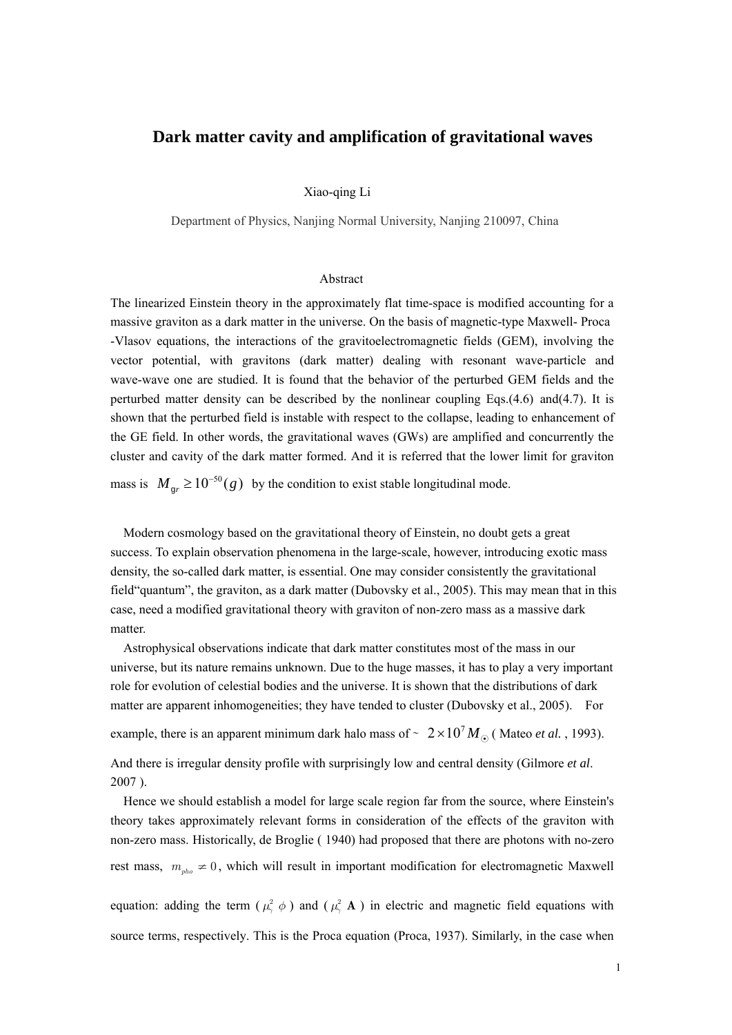# **Dark matter cavity and amplification of gravitational waves**

#### Xiao-qing Li

Department of Physics, Nanjing Normal University, Nanjing 210097, China

#### Abstract

The linearized Einstein theory in the approximately flat time-space is modified accounting for a massive graviton as a dark matter in the universe. On the basis of magnetic-type Maxwell- Proca -Vlasov equations, the interactions of the gravitoelectromagnetic fields (GEM), involving the vector potential, with gravitons (dark matter) dealing with resonant wave-particle and wave-wave one are studied. It is found that the behavior of the perturbed GEM fields and the perturbed matter density can be described by the nonlinear coupling Eqs.(4.6) and(4.7). It is shown that the perturbed field is instable with respect to the collapse, leading to enhancement of the GE field. In other words, the gravitational waves (GWs) are amplified and concurrently the cluster and cavity of the dark matter formed. And it is referred that the lower limit for graviton

mass is  $M_{gr} \ge 10^{-50} (g)$  by the condition to exist stable longitudinal mode.

Modern cosmology based on the gravitational theory of Einstein, no doubt gets a great success. To explain observation phenomena in the large-scale, however, introducing exotic mass density, the so-called dark matter, is essential. One may consider consistently the gravitational field"quantum", the graviton, as a dark matter (Dubovsky et al., 2005). This may mean that in this case, need a modified gravitational theory with graviton of non-zero mass as a massive dark matter.

 Astrophysical observations indicate that dark matter constitutes most of the mass in our universe, but its nature remains unknown. Due to the huge masses, it has to play a very important role for evolution of celestial bodies and the universe. It is shown that the distributions of dark matter are apparent inhomogeneities; they have tended to cluster (Dubovsky et al., 2005). For

example, there is an apparent minimum dark halo mass of ~  $2 \times 10^7 M_{\odot}$  (Mateo *et al.*, 1993).

And there is irregular density profile with surprisingly low and central density (Gilmore *et al*. 2007 ).

Hence we should establish a model for large scale region far from the source, where Einstein's theory takes approximately relevant forms in consideration of the effects of the graviton with non-zero mass. Historically, de Broglie ( 1940) had proposed that there are photons with no-zero rest mass,  $m_{pho} \neq 0$ , which will result in important modification for electromagnetic Maxwell

equation: adding the term ( $\mu^2$   $\phi$ ) and ( $\mu^2$ , **A**) in electric and magnetic field equations with source terms, respectively. This is the Proca equation (Proca, 1937). Similarly, in the case when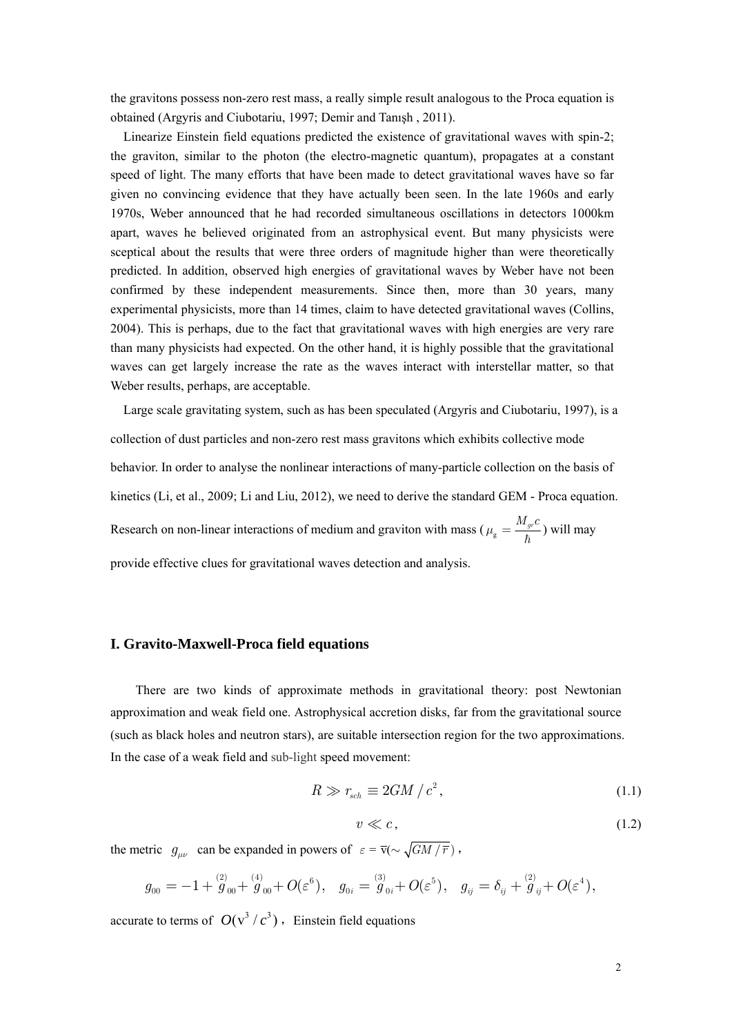the gravitons possess non-zero rest mass, a really simple result analogous to the Proca equation is obtained (Argyris and Ciubotariu, 1997; Demir and Tanışh , 2011).

 Linearize Einstein field equations predicted the existence of gravitational waves with spin-2; the graviton, similar to the photon (the electro-magnetic quantum), propagates at a constant speed of light. The many efforts that have been made to detect gravitational waves have so far given no convincing evidence that they have actually been seen. In the late 1960s and early 1970s, Weber announced that he had recorded simultaneous oscillations in detectors 1000km apart, waves he believed originated from an astrophysical event. But many physicists were sceptical about the results that were three orders of magnitude higher than were theoretically predicted. In addition, observed high energies of gravitational waves by Weber have not been confirmed by these independent measurements. Since then, more than 30 years, many experimental physicists, more than 14 times, claim to have detected gravitational waves (Collins, 2004). This is perhaps, due to the fact that gravitational waves with high energies are very rare than many physicists had expected. On the other hand, it is highly possible that the gravitational waves can get largely increase the rate as the waves interact with interstellar matter, so that Weber results, perhaps, are acceptable.

 Large scale gravitating system, such as has been speculated (Argyris and Ciubotariu, 1997), is a collection of dust particles and non-zero rest mass gravitons which exhibits collective mode behavior. In order to analyse the nonlinear interactions of many-particle collection on the basis of kinetics (Li, et al., 2009; Li and Liu, 2012), we need to derive the standard GEM - Proca equation. Research on non-linear interactions of medium and graviton with mass ( $\mu_{\rm g} = \frac{M_{gr}c}{\hbar}$ ) will may provide effective clues for gravitational waves detection and analysis.

### **I. Gravito-Maxwell-Proca field equations**

There are two kinds of approximate methods in gravitational theory: post Newtonian approximation and weak field one. Astrophysical accretion disks, far from the gravitational source (such as black holes and neutron stars), are suitable intersection region for the two approximations. In the case of a weak field and sub-light speed movement:

$$
R \gg r_{sch} \equiv 2GM/c^2, \tag{1.1}
$$

$$
v \ll c,\tag{1.2}
$$

the metric  $g_{\mu\nu}$  can be expanded in powers of  $\varepsilon = \overline{v}(\sim \sqrt{GM/\overline{r}})$ ,

$$
g_{00} = -1 + \overset{(2)}{g}_{00} + \overset{(4)}{g}_{00} + O(\varepsilon^6), \quad g_{0i} = \overset{(3)}{g}_{0i} + O(\varepsilon^5), \quad g_{ij} = \delta_{ij} + \overset{(2)}{g}_{ij} + O(\varepsilon^4),
$$

accurate to terms of  $O(v^3 / c^3)$ , Einstein field equations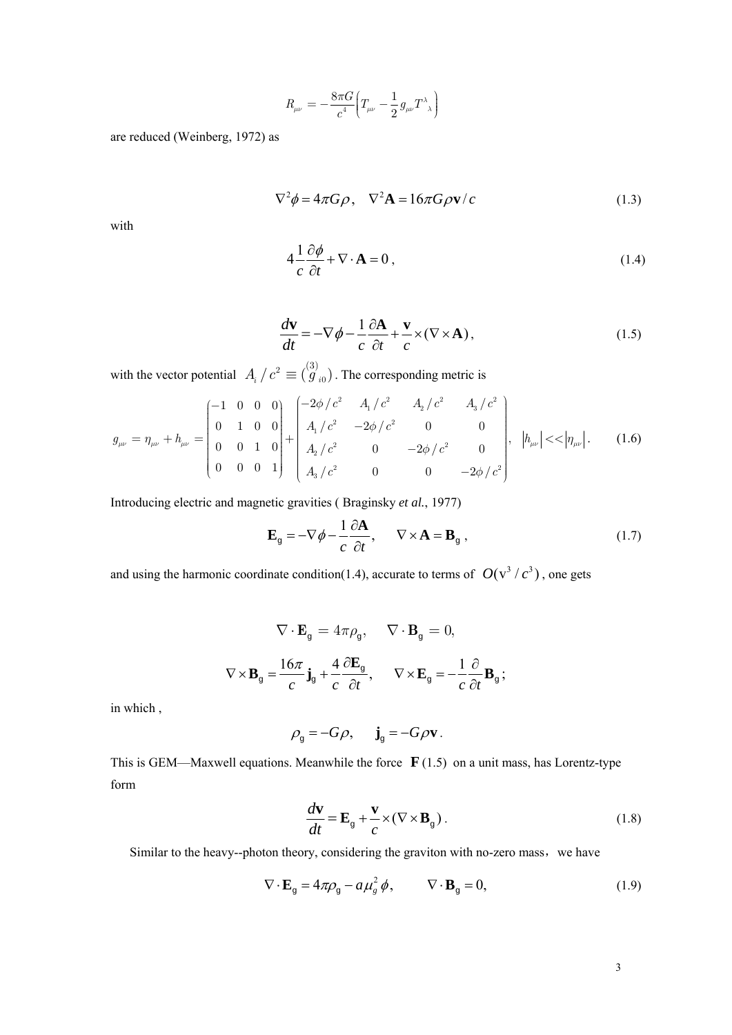$$
R_{\mu\nu} = -\frac{8\pi G}{c^4} \left( T_{\mu\nu} - \frac{1}{2} g_{\mu\nu} T^{\lambda}{}_{\lambda} \right)
$$

are reduced (Weinberg, 1972) as

$$
\nabla^2 \phi = 4\pi G \rho, \quad \nabla^2 \mathbf{A} = 16\pi G \rho \mathbf{v}/c \tag{1.3}
$$

with

$$
4\frac{1}{c}\frac{\partial\phi}{\partial t} + \nabla\cdot\mathbf{A} = 0, \qquad (1.4)
$$

$$
\frac{d\mathbf{v}}{dt} = -\nabla \phi - \frac{1}{c} \frac{\partial \mathbf{A}}{\partial t} + \frac{\mathbf{v}}{c} \times (\nabla \times \mathbf{A}),\tag{1.5}
$$

with the vector potential  $A_i / c^2 \equiv \binom{3}{g_{i0}}$ . The corresponding metric is

$$
g_{\mu\nu} = \eta_{\mu\nu} + h_{\mu\nu} = \begin{pmatrix} -1 & 0 & 0 & 0 \\ 0 & 1 & 0 & 0 \\ 0 & 0 & 1 & 0 \\ 0 & 0 & 0 & 1 \end{pmatrix} + \begin{pmatrix} -2\phi/c^2 & A_1/c^2 & A_2/c^2 & A_3/c^2 \\ A_1/c^2 & -2\phi/c^2 & 0 & 0 \\ A_2/c^2 & 0 & -2\phi/c^2 & 0 \\ A_3/c^2 & 0 & 0 & -2\phi/c^2 \end{pmatrix}, \quad |h_{\mu\nu}| << |\eta_{\mu\nu}|. \tag{1.6}
$$

Introducing electric and magnetic gravities ( Braginsky *et al.*, 1977)

$$
\mathbf{E}_{\mathbf{g}} = -\nabla \phi - \frac{1}{c} \frac{\partial \mathbf{A}}{\partial t}, \qquad \nabla \times \mathbf{A} = \mathbf{B}_{\mathbf{g}} , \qquad (1.7)
$$

and using the harmonic coordinate condition(1.4), accurate to terms of  $O(v^3 / c^3)$ , one gets

$$
\nabla \cdot \mathbf{E}_{g} = 4\pi \rho_{g}, \quad \nabla \cdot \mathbf{B}_{g} = 0,
$$
  

$$
\nabla \times \mathbf{B}_{g} = \frac{16\pi}{c} \mathbf{j}_{g} + \frac{4}{c} \frac{\partial \mathbf{E}_{g}}{\partial t}, \quad \nabla \times \mathbf{E}_{g} = -\frac{1}{c} \frac{\partial}{\partial t} \mathbf{B}_{g};
$$

in which ,

$$
\rho_{\rm g} = -G\rho, \quad \mathbf{j}_{\rm g} = -G\rho \mathbf{v}.
$$

This is GEM—Maxwell equations. Meanwhile the force **F** (1.5) on a unit mass, has Lorentz-type form

$$
\frac{d\mathbf{v}}{dt} = \mathbf{E}_{g} + \frac{\mathbf{v}}{c} \times (\nabla \times \mathbf{B}_{g}).
$$
\n(1.8)

Similar to the heavy--photon theory, considering the graviton with no-zero mass, we have

$$
\nabla \cdot \mathbf{E}_{g} = 4\pi \rho_{g} - a\mu_{g}^{2} \phi, \qquad \nabla \cdot \mathbf{B}_{g} = 0,
$$
\n(1.9)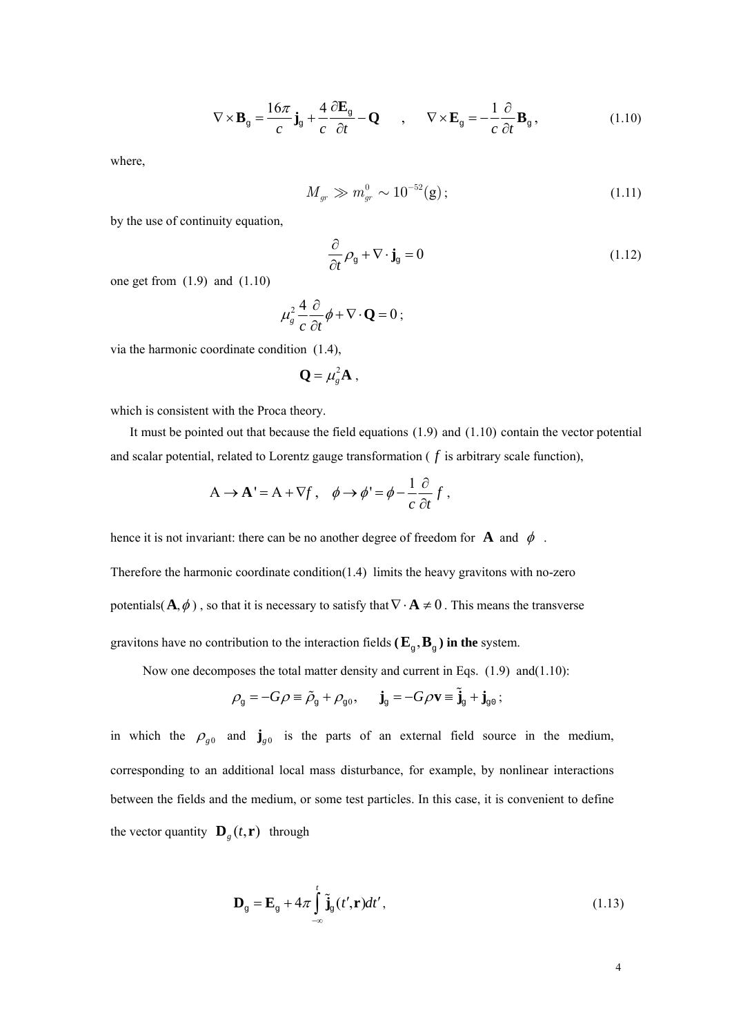$$
\nabla \times \mathbf{B}_{g} = \frac{16\pi}{c} \mathbf{j}_{g} + \frac{4}{c} \frac{\partial \mathbf{E}_{g}}{\partial t} - \mathbf{Q} \qquad , \qquad \nabla \times \mathbf{E}_{g} = -\frac{1}{c} \frac{\partial}{\partial t} \mathbf{B}_{g} \,, \tag{1.10}
$$

where,

$$
M_{gr} \gg m_{gr}^0 \sim 10^{-52} \text{(g)}; \tag{1.11}
$$

by the use of continuity equation,

$$
\frac{\partial}{\partial t} \rho_{\rm g} + \nabla \cdot \mathbf{j}_{\rm g} = 0 \tag{1.12}
$$

one get from (1.9) and (1.10)

$$
\mu_s^2 \frac{4}{c} \frac{\partial}{\partial t} \phi + \nabla \cdot \mathbf{Q} = 0 \; ;
$$

via the harmonic coordinate condition (1.4),

$$
\mathbf{Q} = \mu_s^2 \mathbf{A} ,
$$

which is consistent with the Proca theory.

It must be pointed out that because the field equations (1.9) and (1.10) contain the vector potential and scalar potential, related to Lorentz gauge transformation ( *f* is arbitrary scale function),

$$
A \to A' = A + \nabla f \,, \quad \phi \to \phi' = \phi - \frac{1}{c} \frac{\partial}{\partial t} f \,.
$$

hence it is not invariant: there can be no another degree of freedom for **A** and  $\phi$ .

Therefore the harmonic coordinate condition(1.4) limits the heavy gravitons with no-zero potentials( $\mathbf{A}, \phi$ ), so that it is necessary to satisfy that  $\nabla \cdot \mathbf{A} \neq 0$ . This means the transverse gravitons have no contribution to the interaction fields ( $\mathbf{E}_{\alpha}$ ,  $\mathbf{B}_{\alpha}$ ) in the system.

Now one decomposes the total matter density and current in Eqs. (1.9) and(1.10):

$$
\rho_{\text{\tiny{g}}} = -G\rho \equiv \tilde{\rho}_{\text{\tiny{g}}} + \rho_{\text{\tiny{g0}}}, \quad \ \mathbf{j}_{\text{\tiny{g}}} = -G\rho \mathbf{v} \equiv \tilde{\mathbf{j}}_{\text{\tiny{g}}} + \mathbf{j}_{\text{\tiny{g0}}}\,;
$$

in which the  $\rho_{g0}$  and  $\mathbf{j}_{g0}$  is the parts of an external field source in the medium, corresponding to an additional local mass disturbance, for example, by nonlinear interactions between the fields and the medium, or some test particles. In this case, it is convenient to define the vector quantity  $\mathbf{D}_g(t, \mathbf{r})$  through

$$
\mathbf{D}_{g} = \mathbf{E}_{g} + 4\pi \int_{-\infty}^{t} \tilde{\mathbf{j}}_{g}(t', \mathbf{r})dt',
$$
\n(1.13)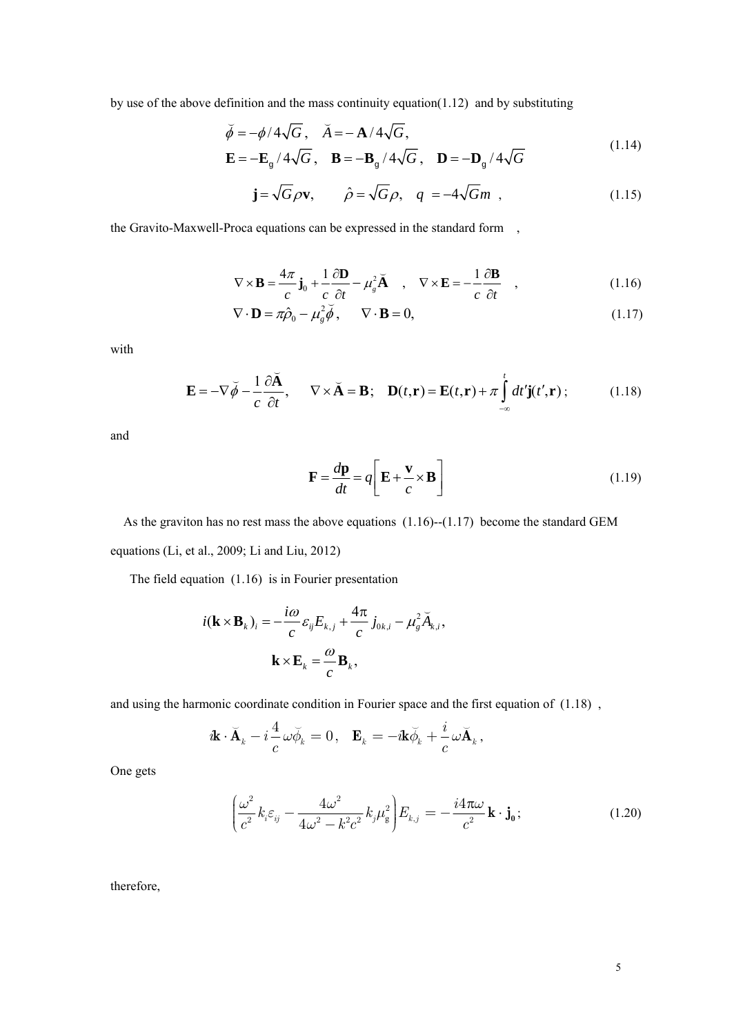by use of the above definition and the mass continuity equation(1.12) and by substituting

$$
\breve{\phi} = -\phi/4\sqrt{G}, \breve{A} = -\mathbf{A}/4\sqrt{G},
$$
  

$$
\mathbf{E} = -\mathbf{E}_{g}/4\sqrt{G}, \mathbf{B} = -\mathbf{B}_{g}/4\sqrt{G}, \mathbf{D} = -\mathbf{D}_{g}/4\sqrt{G}
$$
(1.14)

$$
\mathbf{j} = \sqrt{G}\rho \mathbf{v}, \qquad \hat{\rho} = \sqrt{G}\rho, \quad q = -4\sqrt{G}m \quad , \tag{1.15}
$$

the Gravito-Maxwell-Proca equations can be expressed in the standard form ,

$$
\nabla \times \mathbf{B} = \frac{4\pi}{c} \mathbf{j}_0 + \frac{1}{c} \frac{\partial \mathbf{D}}{\partial t} - \mu_s^2 \mathbf{A} \quad , \quad \nabla \times \mathbf{E} = -\frac{1}{c} \frac{\partial \mathbf{B}}{\partial t} \quad , \tag{1.16}
$$

$$
\nabla \cdot \mathbf{D} = \pi \hat{\rho}_0 - \mu_g^2 \breve{\phi}, \qquad \nabla \cdot \mathbf{B} = 0,
$$
\n(1.17)

with

$$
\mathbf{E} = -\nabla \breve{\phi} - \frac{1}{c} \frac{\partial \breve{\mathbf{A}}}{\partial t}, \qquad \nabla \times \breve{\mathbf{A}} = \mathbf{B}; \quad \mathbf{D}(t, \mathbf{r}) = \mathbf{E}(t, \mathbf{r}) + \pi \int_{-\infty}^{t} dt' \mathbf{j}(t', \mathbf{r}) ; \tag{1.18}
$$

and

$$
\mathbf{F} = \frac{d\mathbf{p}}{dt} = q \left[ \mathbf{E} + \frac{\mathbf{v}}{c} \times \mathbf{B} \right]
$$
 (1.19)

As the graviton has no rest mass the above equations  $(1.16)$ - $(1.17)$  become the standard GEM equations (Li, et al., 2009; Li and Liu, 2012)

The field equation (1.16) is in Fourier presentation

$$
i(\mathbf{k} \times \mathbf{B}_{k})_{i} = -\frac{i\omega}{c} \varepsilon_{ij} E_{k,j} + \frac{4\pi}{c} j_{0k,i} - \mu_{g}^{2} \breve{A}_{k,i},
$$

$$
\mathbf{k} \times \mathbf{E}_{k} = \frac{\omega}{c} \mathbf{B}_{k},
$$

and using the harmonic coordinate condition in Fourier space and the first equation of (1.18) ,

$$
\mathbf{\mathbf{\dot{\alpha}}}\cdot\mathbf{\breve{A}}_{k}-i\frac{4}{c}\,\omega\breve{\phi}_{k}=0\,,\ \ \mathbf{E}_{k}=-i\mathbf{k}\breve{\phi}_{k}+\frac{i}{c}\,\omega\breve{\mathbf{A}}_{k}\,,
$$

One gets

$$
\left(\frac{\omega^2}{c^2}k_i\varepsilon_{ij} - \frac{4\omega^2}{4\omega^2 - k^2c^2}k_j\mu_\mathbf{g}^2\right)E_{k,j} = -\frac{i4\pi\omega}{c^2}\mathbf{k}\cdot\mathbf{j_0};\tag{1.20}
$$

therefore,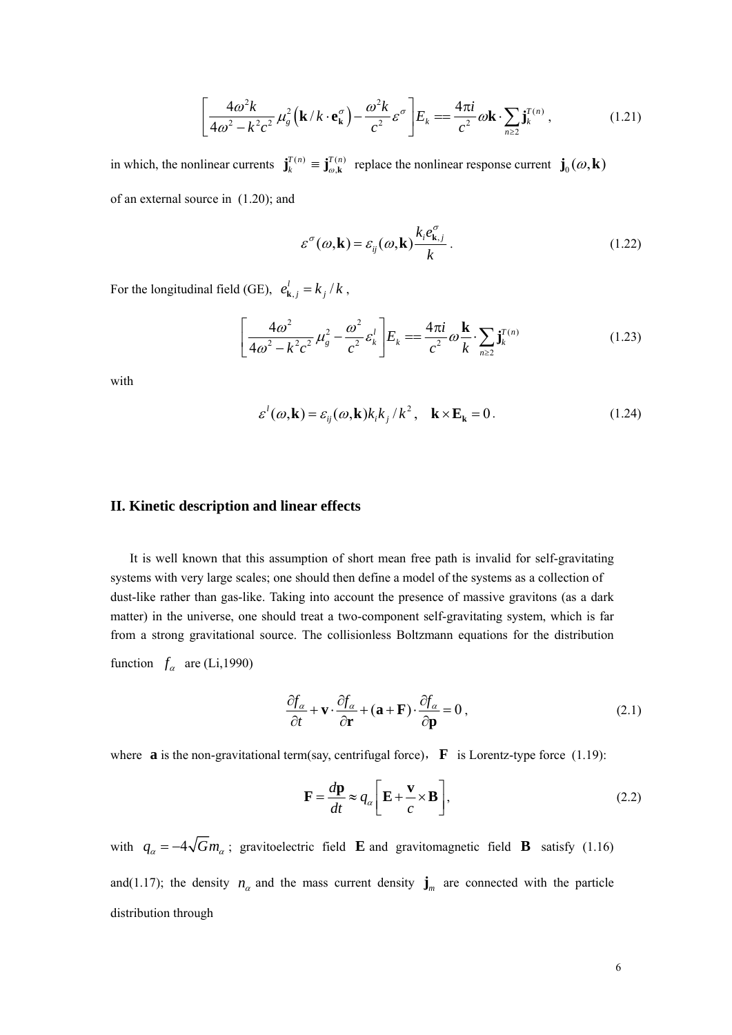$$
\left[\frac{4\omega^2 k}{4\omega^2 - k^2 c^2} \mu_g^2 \left(\mathbf{k}/k \cdot \mathbf{e}_\mathbf{k}^\sigma\right) - \frac{\omega^2 k}{c^2} \varepsilon^\sigma \right] \! E_k = \frac{4\pi i}{c^2} \omega \mathbf{k} \cdot \sum_{n \ge 2} \mathbf{j}_k^{T(n)},\tag{1.21}
$$

in which, the nonlinear currents  $\mathbf{j}_{k}^{T(n)} \equiv \mathbf{j}_{\omega,\mathbf{k}}^{T(n)}$  $\mathbf{j}_{k}^{T(n)} \equiv \mathbf{j}_{\omega,\mathbf{k}}^{T(n)}$  replace the nonlinear response current  $\mathbf{j}_{0}(\omega,\mathbf{k})$ of an external source in (1.20); and

$$
\varepsilon^{\sigma}(\omega, \mathbf{k}) = \varepsilon_{ij}(\omega, \mathbf{k}) \frac{k_i e_{\mathbf{k},j}^{\sigma}}{k}.
$$
 (1.22)

For the longitudinal field (GE),  $e_{\mathbf{k},j}^{l} = k_{j} / k$ ,

$$
\left[\frac{4\omega^2}{4\omega^2 - k^2 c^2} \mu_g^2 - \frac{\omega^2}{c^2} \varepsilon_k^l \right] E_k = \frac{4\pi i}{c^2} \omega \frac{\mathbf{k}}{k} \cdot \sum_{n \ge 2} \mathbf{j}_k^{T(n)} \tag{1.23}
$$

with

$$
\varepsilon^{l}(\omega, \mathbf{k}) = \varepsilon_{ij}(\omega, \mathbf{k}) k_{i} k_{j} / k^{2}, \quad \mathbf{k} \times \mathbf{E}_{\mathbf{k}} = 0.
$$
 (1.24)

### **II. Kinetic description and linear effects**

It is well known that this assumption of short mean free path is invalid for self-gravitating systems with very large scales; one should then define a model of the systems as a collection of dust-like rather than gas-like. Taking into account the presence of massive gravitons (as a dark matter) in the universe, one should treat a two-component self-gravitating system, which is far from a strong gravitational source. The collisionless Boltzmann equations for the distribution function  $f_a$  are (Li,1990)

$$
\frac{\partial f_{\alpha}}{\partial t} + \mathbf{v} \cdot \frac{\partial f_{\alpha}}{\partial \mathbf{r}} + (\mathbf{a} + \mathbf{F}) \cdot \frac{\partial f_{\alpha}}{\partial \mathbf{p}} = 0, \qquad (2.1)
$$

where **a** is the non-gravitational term(say, centrifugal force),  $\bf{F}$  is Lorentz-type force (1.19):

$$
\mathbf{F} = \frac{d\mathbf{p}}{dt} \approx q_{\alpha} \left[ \mathbf{E} + \frac{\mathbf{v}}{c} \times \mathbf{B} \right],
$$
 (2.2)

with  $q_{\alpha} = -4\sqrt{G}m_{\alpha}$ ; gravitoelectric field **E** and gravitomagnetic field **B** satisfy (1.16) and(1.17); the density  $n_a$  and the mass current density  $\mathbf{j}_m$  are connected with the particle distribution through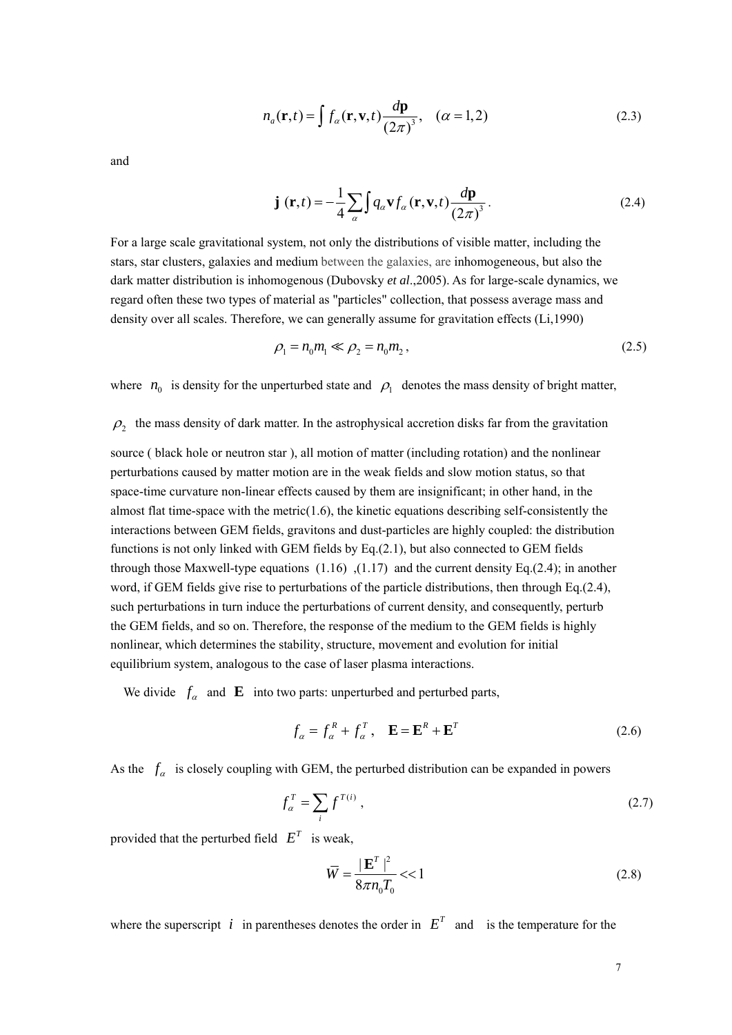$$
n_a(\mathbf{r},t) = \int f_a(\mathbf{r}, \mathbf{v},t) \frac{d\mathbf{p}}{(2\pi)^3}, \quad (\alpha = 1,2)
$$
 (2.3)

and

$$
\mathbf{j}(\mathbf{r},t) = -\frac{1}{4} \sum_{\alpha} \int q_{\alpha} \mathbf{v} f_{\alpha}(\mathbf{r}, \mathbf{v}, t) \frac{d\mathbf{p}}{(2\pi)^3}.
$$
 (2.4)

For a large scale gravitational system, not only the distributions of visible matter, including the stars, star clusters, galaxies and medium between the galaxies, are inhomogeneous, but also the dark matter distribution is inhomogenous (Dubovsky *et al*.,2005). As for large-scale dynamics, we regard often these two types of material as "particles" collection, that possess average mass and density over all scales. Therefore, we can generally assume for gravitation effects (Li,1990)

$$
\rho_1 = n_0 m_1 \ll \rho_2 = n_0 m_2, \tag{2.5}
$$

where  $n_0$  is density for the unperturbed state and  $\rho_1$  denotes the mass density of bright matter,

 $\rho$ , the mass density of dark matter. In the astrophysical accretion disks far from the gravitation

source ( black hole or neutron star ), all motion of matter (including rotation) and the nonlinear perturbations caused by matter motion are in the weak fields and slow motion status, so that space-time curvature non-linear effects caused by them are insignificant; in other hand, in the almost flat time-space with the metric $(1.6)$ , the kinetic equations describing self-consistently the interactions between GEM fields, gravitons and dust-particles are highly coupled: the distribution functions is not only linked with GEM fields by Eq.(2.1), but also connected to GEM fields through those Maxwell-type equations  $(1.16)$ ,  $(1.17)$  and the current density Eq.(2.4); in another word, if GEM fields give rise to perturbations of the particle distributions, then through Eq.(2.4), such perturbations in turn induce the perturbations of current density, and consequently, perturb the GEM fields, and so on. Therefore, the response of the medium to the GEM fields is highly nonlinear, which determines the stability, structure, movement and evolution for initial equilibrium system, analogous to the case of laser plasma interactions.

We divide  $f_a$  and **E** into two parts: unperturbed and perturbed parts,

$$
f_{\alpha} = f_{\alpha}^R + f_{\alpha}^T, \quad \mathbf{E} = \mathbf{E}^R + \mathbf{E}^T
$$
 (2.6)

As the  $f_\alpha$  is closely coupling with GEM, the perturbed distribution can be expanded in powers

$$
f_{\alpha}^T = \sum_i f^{T(i)} \,, \tag{2.7}
$$

provided that the perturbed field  $E^T$  is weak,

$$
\overline{W} = \frac{|\mathbf{E}^T|^2}{8\pi n_0 T_0} < 1\tag{2.8}
$$

where the superscript *i* in parentheses denotes the order in  $E<sup>T</sup>$  and is the temperature for the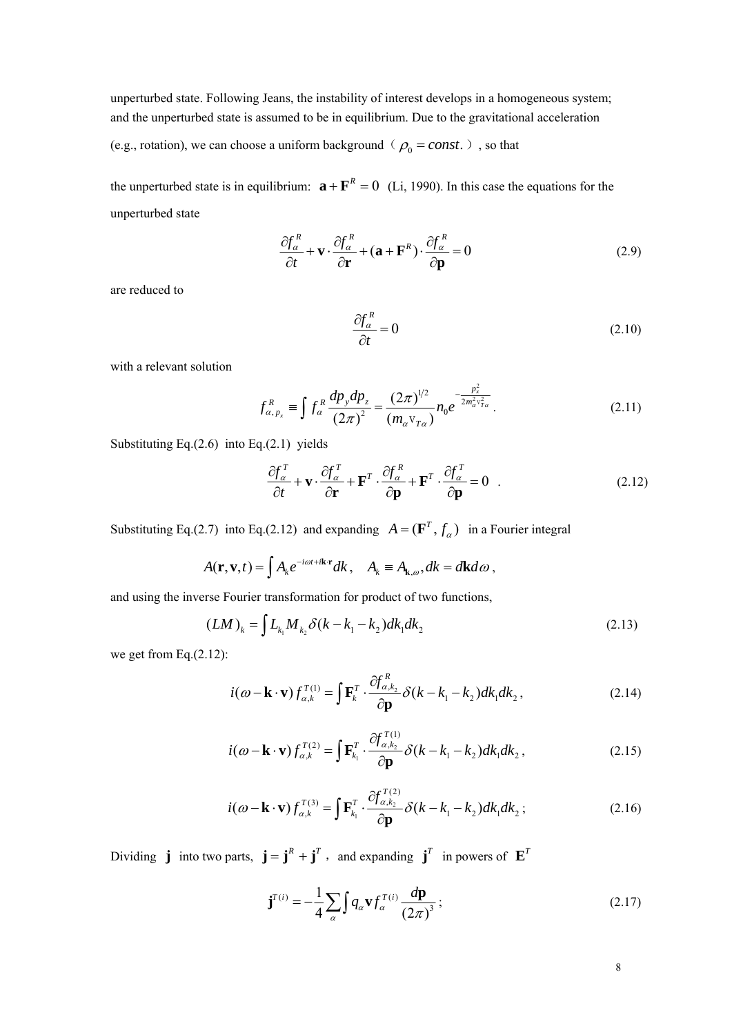unperturbed state. Following Jeans, the instability of interest develops in a homogeneous system; and the unperturbed state is assumed to be in equilibrium. Due to the gravitational acceleration

(e.g., rotation), we can choose a uniform background ( $\rho_0 = const.$ ), so that

the unperturbed state is in equilibrium:  $\mathbf{a} + \mathbf{F}^R = 0$  (Li, 1990). In this case the equations for the unperturbed state

$$
\frac{\partial f_{\alpha}^{R}}{\partial t} + \mathbf{v} \cdot \frac{\partial f_{\alpha}^{R}}{\partial \mathbf{r}} + (\mathbf{a} + \mathbf{F}^{R}) \cdot \frac{\partial f_{\alpha}^{R}}{\partial \mathbf{p}} = 0
$$
\n(2.9)

are reduced to

$$
\frac{\partial f_a^R}{\partial t} = 0\tag{2.10}
$$

with a relevant solution

$$
f_{\alpha, p_x}^R \equiv \int f_\alpha^R \frac{dp_y dp_z}{(2\pi)^2} = \frac{(2\pi)^{1/2}}{(m_\alpha v_{T\alpha})} n_0 e^{-\frac{p_x^2}{2m_\alpha^2 v_{T\alpha}^2}}.
$$
 (2.11)

Substituting Eq. $(2.6)$  into Eq. $(2.1)$  yields

$$
\frac{\partial f_a^T}{\partial t} + \mathbf{v} \cdot \frac{\partial f_a^T}{\partial \mathbf{r}} + \mathbf{F}^T \cdot \frac{\partial f_a^R}{\partial \mathbf{p}} + \mathbf{F}^T \cdot \frac{\partial f_a^T}{\partial \mathbf{p}} = 0
$$
\n(2.12)

Substituting Eq.(2.7) into Eq.(2.12) and expanding  $A = (\mathbf{F}^T, f_a)$  in a Fourier integral

$$
A(\mathbf{r}, \mathbf{v}, t) = \int A_k e^{-i\omega t + i\mathbf{k} \cdot \mathbf{r}} dk, \quad A_k \equiv A_{\mathbf{k}, \omega}, dk = d\mathbf{k} d\omega,
$$

and using the inverse Fourier transformation for product of two functions,

$$
(LM)_k = \int L_{k_1} M_{k_2} \delta(k - k_1 - k_2) dk_1 dk_2
$$
\n(2.13)

we get from Eq.(2.12):

$$
i(\omega - \mathbf{k} \cdot \mathbf{v}) f_{\alpha,k}^{T(1)} = \int \mathbf{F}_k^T \cdot \frac{\partial f_{\alpha,k_2}^R}{\partial \mathbf{p}} \delta(k - k_1 - k_2) dk_1 dk_2, \qquad (2.14)
$$

$$
i(\omega - \mathbf{k} \cdot \mathbf{v}) f_{\alpha,k}^{T(2)} = \int \mathbf{F}_{k_1}^T \cdot \frac{\partial f_{\alpha,k_2}^{T(1)}}{\partial \mathbf{p}} \delta(k - k_1 - k_2) dk_1 dk_2 ,
$$
 (2.15)

$$
i(\omega - \mathbf{k} \cdot \mathbf{v}) f_{\alpha,k}^{T(3)} = \int \mathbf{F}_{k_1}^T \cdot \frac{\partial f_{\alpha,k_2}^{T(2)}}{\partial \mathbf{p}} \delta(k - k_1 - k_2) dk_1 dk_2 ;
$$
 (2.16)

Dividing **j** into two parts,  $\mathbf{j} = \mathbf{j}^R + \mathbf{j}^T$ , and expanding  $\mathbf{j}^T$  in powers of  $\mathbf{E}^T$ 

$$
\mathbf{j}^{(i)} = -\frac{1}{4} \sum_{\alpha} \int q_{\alpha} \mathbf{v} f_{\alpha}^{(i)} \frac{d\mathbf{p}}{(2\pi)^3};
$$
\n(2.17)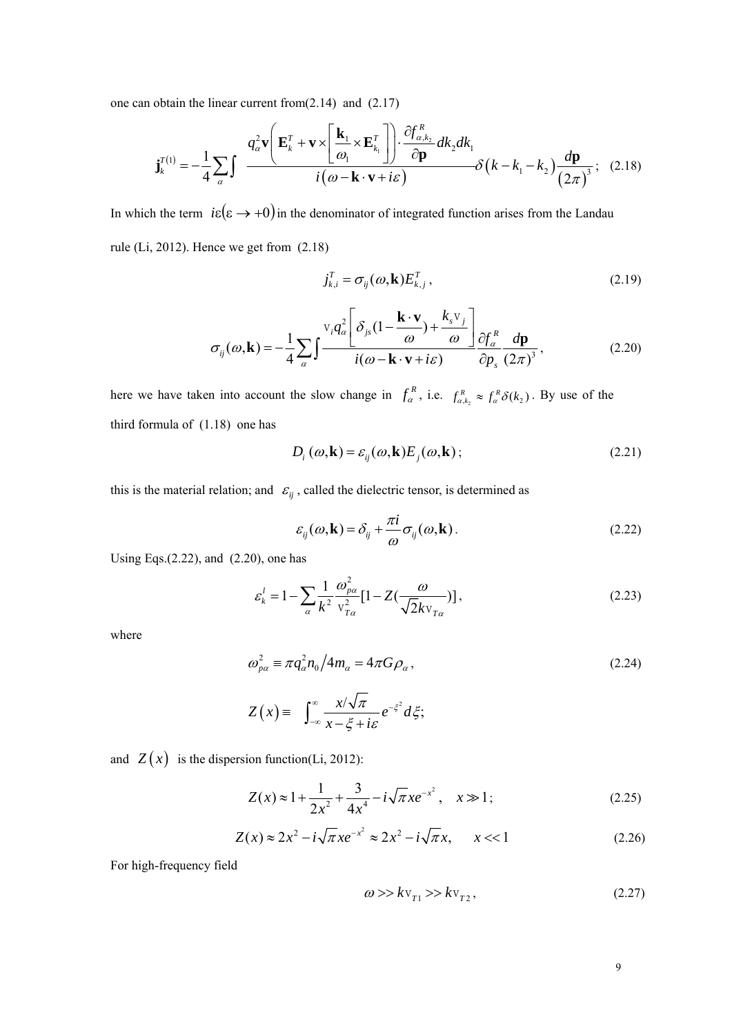one can obtain the linear current from(2.14) and (2.17)

$$
\mathbf{j}_{k}^{T(1)} = -\frac{1}{4} \sum_{\alpha} \int \frac{q_{\alpha}^{2} \mathbf{v} \left( \mathbf{E}_{k}^{T} + \mathbf{v} \times \left[ \frac{\mathbf{k}_{1}}{\omega_{1}} \times \mathbf{E}_{k_{1}}^{T} \right] \right) \cdot \frac{\partial f_{\alpha,k_{2}}^{R}}{\partial \mathbf{p}} d k_{2} d k_{1}}{i (\omega - \mathbf{k} \cdot \mathbf{v} + i \varepsilon)} \mathcal{S} \left( k - k_{1} - k_{2} \right) \frac{d \mathbf{p}}{\left( 2 \pi \right)^{3}}; \quad (2.18)
$$

In which the term  $i\varepsilon(\varepsilon \to +0)$  in the denominator of integrated function arises from the Landau rule (Li, 2012). Hence we get from (2.18)

$$
j_{k,i}^T = \sigma_{ij}(\omega, \mathbf{k}) E_{k,j}^T, \qquad (2.19)
$$

$$
\sigma_{ij}(\omega, \mathbf{k}) = -\frac{1}{4} \sum_{\alpha} \int \frac{v_i q_{\alpha}^2 \left[ \delta_{js} (1 - \frac{\mathbf{k} \cdot \mathbf{v}}{\omega}) + \frac{k_s v_j}{\omega} \right]}{i(\omega - \mathbf{k} \cdot \mathbf{v} + i\varepsilon)} \frac{\partial f_{\alpha}^R}{\partial p_s} \frac{d\mathbf{p}}{(2\pi)^3},
$$
(2.20)

here we have taken into account the slow change in  $f_\alpha^R$ , i.e.  $f_{\alpha,k_2}^R \approx f_\alpha^R \delta(k_2)$ . By use of the third formula of (1.18) one has

$$
D_i(\omega, \mathbf{k}) = \varepsilon_{ij}(\omega, \mathbf{k}) E_j(\omega, \mathbf{k}) ;
$$
 (2.21)

this is the material relation; and  $\varepsilon_{ij}$ , called the dielectric tensor, is determined as

$$
\varepsilon_{ij}(\omega, \mathbf{k}) = \delta_{ij} + \frac{\pi i}{\omega} \sigma_{ij}(\omega, \mathbf{k}).
$$
\n(2.22)

Using Eqs.(2.22), and (2.20), one has

$$
\varepsilon_k^l = 1 - \sum_{\alpha} \frac{1}{k^2} \frac{\omega_{p\alpha}^2}{v_{T\alpha}^2} \left[ 1 - Z\left(\frac{\omega}{\sqrt{2}k v_{T\alpha}}\right) \right],\tag{2.23}
$$

where

$$
\omega_{\rho\alpha}^2 \equiv \pi q_\alpha^2 n_0 / 4m_\alpha = 4\pi G \rho_\alpha, \qquad (2.24)
$$

$$
Z(x) = \int_{-\infty}^{\infty} \frac{x/\sqrt{\pi}}{x-\xi + i\varepsilon} e^{-\xi^2} d\xi;
$$

and  $Z(x)$  is the dispersion function(Li, 2012):

$$
Z(x) \approx 1 + \frac{1}{2x^2} + \frac{3}{4x^4} - i\sqrt{\pi}xe^{-x^2}, \quad x \gg 1; \tag{2.25}
$$

$$
Z(x) \approx 2x^2 - i\sqrt{\pi}xe^{-x^2} \approx 2x^2 - i\sqrt{\pi}x, \qquad x < 1
$$
 (2.26)

For high-frequency field

$$
\omega \gg k \mathbf{v}_{T1} \gg k \mathbf{v}_{T2},\tag{2.27}
$$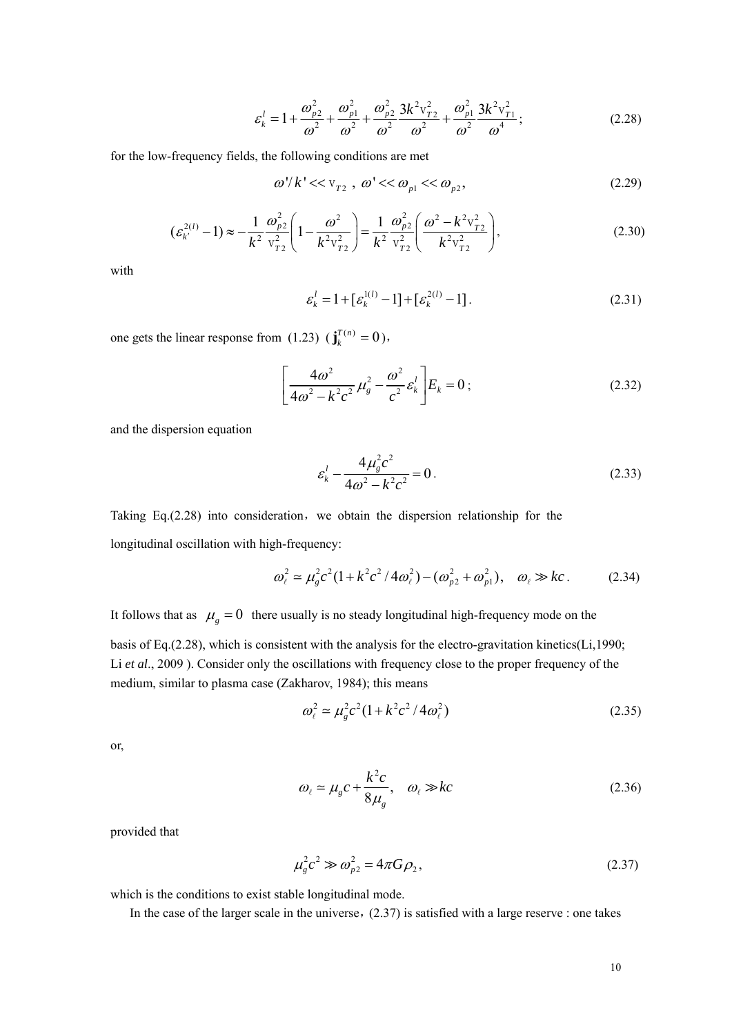$$
\varepsilon_k^l = 1 + \frac{\omega_{p2}^2}{\omega^2} + \frac{\omega_{p1}^2}{\omega^2} + \frac{\omega_{p2}^2}{\omega^2} \frac{3k^2 v_{T2}^2}{\omega^2} + \frac{\omega_{p1}^2}{\omega^2} \frac{3k^2 v_{T1}^2}{\omega^4};
$$
 (2.28)

for the low-frequency fields, the following conditions are met

$$
\omega'/k' << v_{T2} , \omega' << \omega_{p1} << \omega_{p2}, \qquad (2.29)
$$

$$
\left(\varepsilon_{k'}^{2(l)}-1\right) \approx -\frac{1}{k^2} \frac{\omega_{p2}^2}{v_{T2}^2} \left(1 - \frac{\omega^2}{k^2 v_{T2}^2}\right) = \frac{1}{k^2} \frac{\omega_{p2}^2}{v_{T2}^2} \left(\frac{\omega^2 - k^2 v_{T2}^2}{k^2 v_{T2}^2}\right),\tag{2.30}
$$

with

$$
\varepsilon_k^l = 1 + [\varepsilon_k^{1(l)} - 1] + [\varepsilon_k^{2(l)} - 1].
$$
 (2.31)

one gets the linear response from  $(1.23)$   $(\mathbf{j}_{k}^{T(n)} = 0)$ ,

$$
\left[\frac{4\omega^2}{4\omega^2 - k^2 c^2} \mu_g^2 - \frac{\omega^2}{c^2} \varepsilon_k^l\right] E_k = 0 ;
$$
 (2.32)

and the dispersion equation

$$
\varepsilon_k^l - \frac{4\mu_s^2 c^2}{4\omega^2 - k^2 c^2} = 0.
$$
 (2.33)

Taking Eq. $(2.28)$  into consideration, we obtain the dispersion relationship for the longitudinal oscillation with high-frequency:

$$
\omega_{\ell}^{2} \simeq \mu_{g}^{2} c^{2} (1 + k^{2} c^{2} / 4 \omega_{\ell}^{2}) - (\omega_{p2}^{2} + \omega_{p1}^{2}), \quad \omega_{\ell} \gg kc. \tag{2.34}
$$

It follows that as  $\mu_g = 0$  there usually is no steady longitudinal high-frequency mode on the

basis of Eq.(2.28), which is consistent with the analysis for the electro-gravitation kinetics(Li,1990; Li *et al*., 2009 ). Consider only the oscillations with frequency close to the proper frequency of the medium, similar to plasma case (Zakharov, 1984); this means

$$
\omega_{\ell}^{2} \simeq \mu_{g}^{2} c^{2} (1 + k^{2} c^{2} / 4 \omega_{\ell}^{2})
$$
\n(2.35)

or,

$$
\omega_{\ell} \simeq \mu_{g} c + \frac{k^{2} c}{8 \mu_{g}}, \quad \omega_{\ell} \gg kc \tag{2.36}
$$

provided that

$$
\mu_{g}^{2}c^{2} \gg \omega_{p2}^{2} = 4\pi G\rho_{2},\qquad(2.37)
$$

which is the conditions to exist stable longitudinal mode.

In the case of the larger scale in the universe,  $(2.37)$  is satisfied with a large reserve : one takes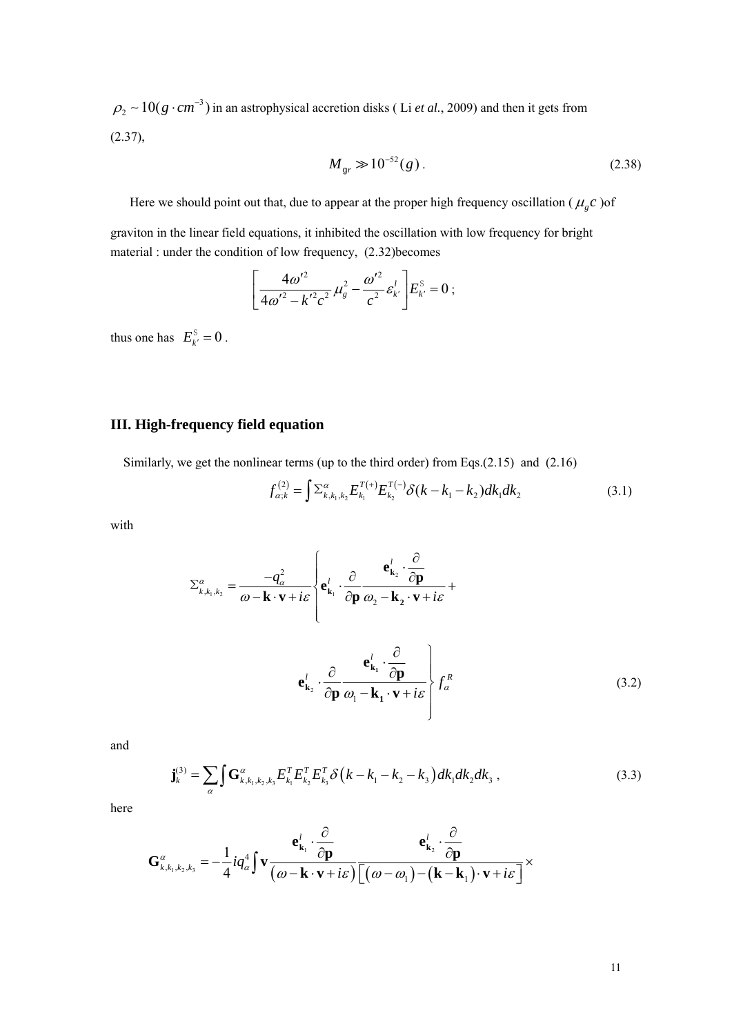$\rho_2 \sim 10(g \cdot cm^{-3})$  in an astrophysical accretion disks (Li *et al.*, 2009) and then it gets from  $(2.37),$ 

$$
M_{gr} \gg 10^{-52} (g). \tag{2.38}
$$

Here we should point out that, due to appear at the proper high frequency oscillation ( $\mu_{g} c$ ) of

graviton in the linear field equations, it inhibited the oscillation with low frequency for bright material : under the condition of low frequency, (2.32)becomes

$$
\left[\frac{4\omega'^2}{4\omega'^2 - k'^2 c^2} \mu_g^2 - \frac{\omega'^2}{c^2} \varepsilon_{k'}^l \right] E_{k'}^{\rm S} = 0 \; ;
$$

thus one has  $E_{k'}^{\text{S}} = 0$ .

## **III. High-frequency field equation**

Similarly, we get the nonlinear terms (up to the third order) from Eqs.(2.15) and (2.16)

$$
f_{\alpha;k}^{(2)} = \int \sum_{k,k_1,k_2}^{\alpha} E_{k_1}^{T(+)} E_{k_2}^{T(-)} \delta(k - k_1 - k_2) dk_1 dk_2 \tag{3.1}
$$

with

$$
\Sigma_{k,k_1,k_2}^{\alpha} = \frac{-q_{\alpha}^2}{\omega - \mathbf{k} \cdot \mathbf{v} + i\varepsilon} \left\{ \mathbf{e}_{\mathbf{k}_1}^l \cdot \frac{\partial}{\partial \mathbf{p}} \frac{\mathbf{e}_{\mathbf{k}_2}^l \cdot \frac{\partial}{\partial \mathbf{p}}}{\omega_2 - \mathbf{k}_2 \cdot \mathbf{v} + i\varepsilon} + \mathbf{e}_{\mathbf{k}_2}^l \cdot \frac{\partial}{\partial \mathbf{p}} \frac{\mathbf{e}_{\mathbf{k}_1}^l \cdot \frac{\partial}{\partial \mathbf{p}}}{\omega_1 - \mathbf{k}_1 \cdot \mathbf{v} + i\varepsilon} \right\} f_{\alpha}^R
$$
(3.2)

and

$$
\mathbf{j}_{k}^{(3)} = \sum_{\alpha} \int \mathbf{G}_{k,k_{1},k_{2},k_{3}}^{\alpha} E_{k_{1}}^{T} E_{k_{2}}^{T} E_{k_{3}}^{T} \delta(k-k_{1}-k_{2}-k_{3}) dk_{1} dk_{2} dk_{3}, \qquad (3.3)
$$

here

$$
\mathbf{G}_{k,k_1,k_2,k_3}^{\alpha} = -\frac{1}{4} i q_{\alpha}^4 \int \mathbf{v} \frac{\mathbf{e}_{\mathbf{k}_1}^l \cdot \frac{\partial}{\partial \mathbf{p}}}{(\omega - \mathbf{k} \cdot \mathbf{v} + i \varepsilon) \left[ (\omega - \omega_1) - (\mathbf{k} - \mathbf{k}_1) \cdot \mathbf{v} + i \varepsilon \right]}\times
$$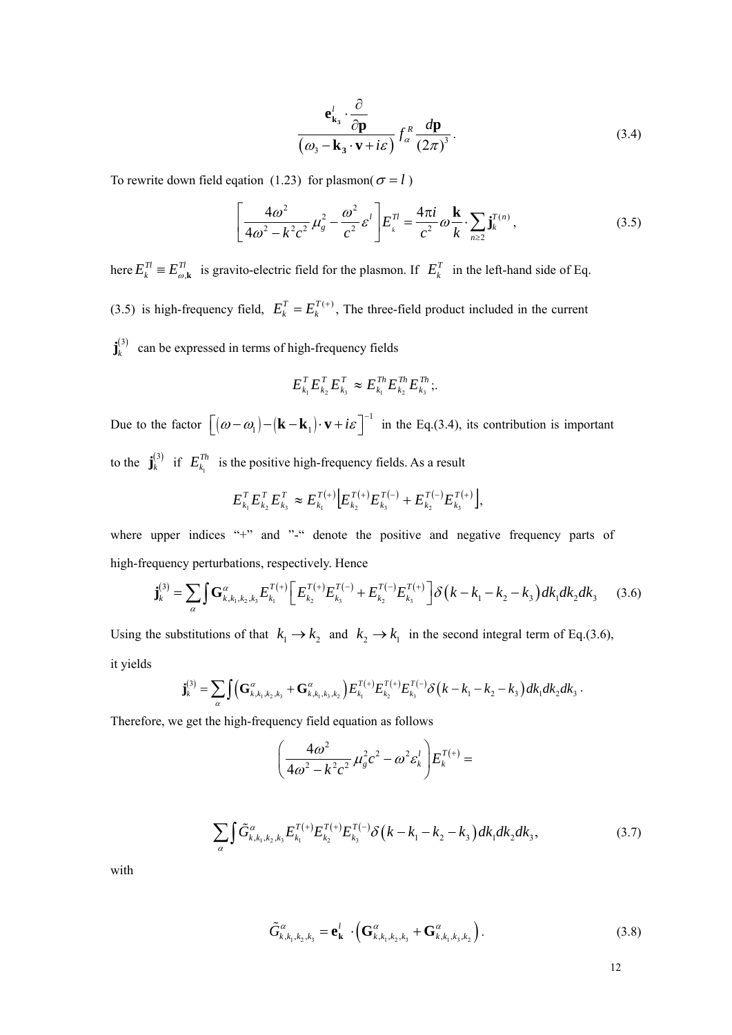$$
\frac{\mathbf{e}_{\mathbf{k}_3}^l \cdot \frac{\partial}{\partial \mathbf{p}}}{(\omega_3 - \mathbf{k}_3 \cdot \mathbf{v} + i\varepsilon)} f_\alpha^R \frac{d\mathbf{p}}{(2\pi)^3}.
$$
\n(3.4)

To rewrite down field eqation (1.23) for plasmon( $\sigma = l$ )

$$
\left[\frac{4\omega^2}{4\omega^2 - k^2 c^2} \mu_g^2 - \frac{\omega^2}{c^2} \varepsilon^l\right] E_i^{\tau} = \frac{4\pi i}{c^2} \omega \frac{\mathbf{k}}{k} \cdot \sum_{n \ge 2} \mathbf{j}_k^{\tau(n)},\tag{3.5}
$$

here  $E_k^T = E_{\omega, \mathbf{k}}^T$  is gravito-electric field for the plasmon. If  $E_k^T$  in the left-hand side of Eq. (3.5) is high-frequency field,  $E_k^T = E_k^{T(+)}$ , The three-field product included in the current  $\mathbf{j}_{k}^{(3)}$  can be expressed in terms of high-frequency fields

$$
E_{k_1}^T E_{k_2}^T E_{k_3}^T \approx E_{k_1}^{Th} E_{k_2}^{Th} E_{k_3}^{Th}
$$

Due to the factor  $\left[ (\omega - \omega_1) - (\mathbf{k} - \mathbf{k}_1) \cdot \mathbf{v} + i \varepsilon \right]^{-1}$  in the Eq.(3.4), its contribution is important to the  $\mathbf{j}_{k}^{(3)}$  if  $E_{k_1}^{Th}$  is the positive high-frequency fields. As a result

$$
E_{k_1}^T E_{k_2}^T E_{k_3}^T \approx E_{k_1}^{T(+)} \Big[E_{k_2}^{T(+)} E_{k_3}^{T(-)} + E_{k_2}^{T(-)} E_{k_3}^{T(+)}\Big],
$$

where upper indices "+" and "-" denote the positive and negative frequency parts of high-frequency perturbations, respectively. Hence

$$
\mathbf{j}_{k}^{(3)} = \sum_{\alpha} \int \mathbf{G}_{k,k_{1},k_{2},k_{3}}^{\alpha} E_{k_{1}}^{T(+)} \left[ E_{k_{2}}^{T(+)} E_{k_{3}}^{T(-)} + E_{k_{2}}^{T(-)} E_{k_{3}}^{T(+)} \right] \delta\left(k - k_{1} - k_{2} - k_{3}\right) dk_{1} dk_{2} dk_{3} \tag{3.6}
$$

Using the substitutions of that  $k_1 \rightarrow k_2$  and  $k_2 \rightarrow k_1$  in the second integral term of Eq.(3.6), it yields

$$
\mathbf{j}_{k}^{(3)} = \sum_{\alpha} \int \Big( \mathbf{G}_{k,k_1,k_2,k_3}^{\alpha} + \mathbf{G}_{k,k_1,k_3,k_2}^{\alpha} \Big) E_{k_1}^{T(+)} E_{k_2}^{T(+)} E_{k_3}^{T(-)} \delta\big(k-k_1-k_2-k_3\big) dk_1 dk_2 dk_3.
$$

Therefore, we get the high-frequency field equation as follows

$$
\left(\frac{4\omega^2}{4\omega^2-k^2c^2}\mu_g^2c^2-\omega^2\varepsilon_k^l\right)E_k^{T(+)}=
$$

$$
\sum_{\alpha} \int \tilde{G}^{\alpha}_{k,k_1,k_2,k_3} E_{k_1}^{T(+)} E_{k_2}^{T(+)} E_{k_3}^{T(-)} \delta(k-k_1-k_2-k_3) dk_1 dk_2 dk_3, \qquad (3.7)
$$

with

$$
\tilde{G}_{k,k_1,k_2,k_3}^{\alpha} = \mathbf{e}_{\mathbf{k}}^l \cdot \left( \mathbf{G}_{k,k_1,k_2,k_3}^{\alpha} + \mathbf{G}_{k,k_1,k_3,k_2}^{\alpha} \right). \tag{3.8}
$$

12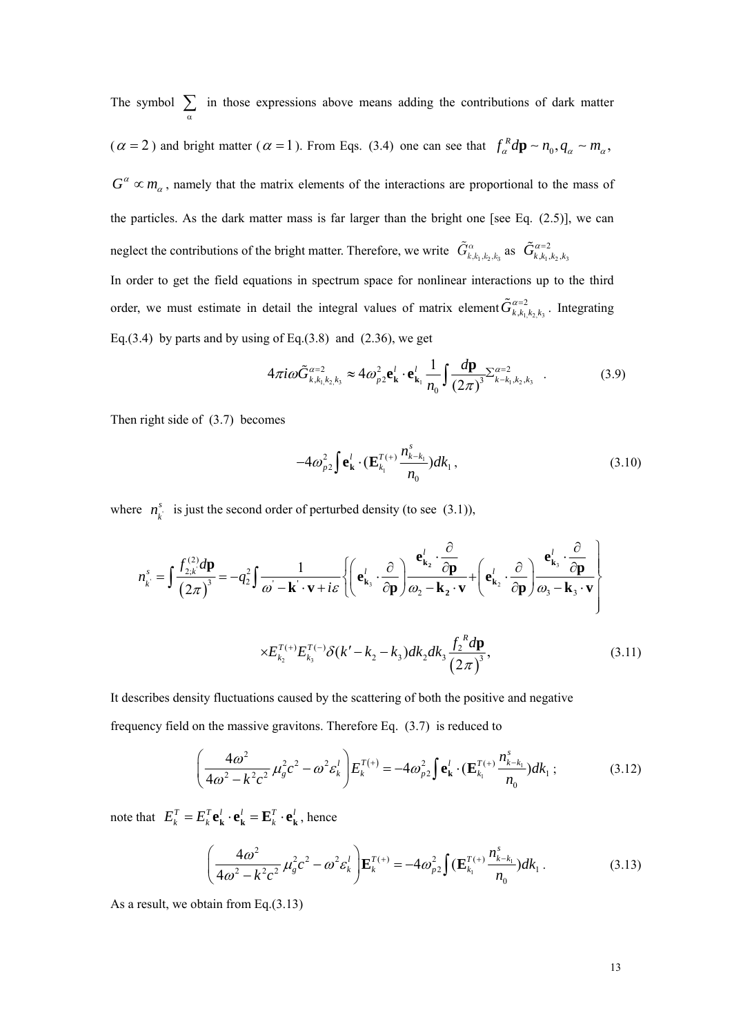The symbol  $\sum_{\alpha}$  in those expressions above means adding the contributions of dark matter  $(\alpha = 2)$  and bright matter  $(\alpha = 1)$ . From Eqs. (3.4) one can see that  $f_{\alpha}^{R} d\mathbf{p} \sim n_0, q_{\alpha} \sim m_{\alpha}$ ,  $G^{\alpha} \propto m_{\alpha}$ , namely that the matrix elements of the interactions are proportional to the mass of the particles. As the dark matter mass is far larger than the bright one [see Eq. (2.5)], we can neglect the contributions of the bright matter. Therefore, we write  $\tilde{G}_{k,k_1,k_2,k_3}^{\alpha}$  as  $\tilde{G}_{k,k_1,k_2,k_3}^{\alpha=2}$ In order to get the field equations in spectrum space for nonlinear interactions up to the third order, we must estimate in detail the integral values of matrix element  $\tilde{G}^{\alpha=2}_{k, k_1, k_2, k_3}$ . Integrating Eq.(3.4) by parts and by using of Eq.(3.8) and  $(2.36)$ , we get

$$
4\pi i\omega \tilde{G}^{\alpha=2}_{k,k_1,k_2,k_3} \approx 4\omega_{p2}^2 \mathbf{e}_{\mathbf{k}}^l \cdot \mathbf{e}_{\mathbf{k}_1}^l \frac{1}{n_0} \int \frac{d\mathbf{p}}{(2\pi)^3} \Sigma_{k-k_1,k_2,k_3}^{\alpha=2} . \tag{3.9}
$$

Then right side of (3.7) becomes

$$
-4\omega_{p2}^2 \int \mathbf{e}_{\mathbf{k}}^l \cdot (\mathbf{E}_{k_1}^{T(+)} \frac{n_{k-k_1}^s}{n_0}) dk_1 ,
$$
 (3.10)

where  $n_k^s$  is just the second order of perturbed density (to see (3.1)),

$$
n_{k}^{s} = \int \frac{f_{2,k}^{(2)} d\mathbf{p}}{(2\pi)^{3}} = -q_{2}^{2} \int \frac{1}{\omega - \mathbf{k} \cdot \mathbf{v} + i\varepsilon} \left\{ \left( \mathbf{e}_{\mathbf{k}_{3}}^{l} \cdot \frac{\partial}{\partial \mathbf{p}} \right) \frac{\mathbf{e}_{\mathbf{k}_{2}}^{l} \cdot \frac{\partial}{\partial \mathbf{p}}}{\omega_{2} - \mathbf{k}_{2} \cdot \mathbf{v}} + \left( \mathbf{e}_{\mathbf{k}_{2}}^{l} \cdot \frac{\partial}{\partial \mathbf{p}} \right) \frac{\mathbf{e}_{\mathbf{k}_{3}}^{l} \cdot \frac{\partial}{\partial \mathbf{p}}}{\omega_{3} - \mathbf{k}_{3} \cdot \mathbf{v}} \right\}
$$

$$
\times E_{k_{2}}^{T(\cdot)} E_{k_{3}}^{T(\cdot)} \delta(k' - k_{2} - k_{3}) dk_{2} dk_{3} \frac{f_{2}^{R} d\mathbf{p}}{(2\pi)^{3}}, \tag{3.11}
$$

It describes density fluctuations caused by the scattering of both the positive and negative frequency field on the massive gravitons. Therefore Eq. (3.7) is reduced to

$$
\left(\frac{4\omega^2}{4\omega^2 - k^2c^2}\mu_g^2c^2 - \omega^2\varepsilon_k^l\right)E_k^{T(+)} = -4\omega_{p2}^2\int \mathbf{e}_{\mathbf{k}}^l \cdot (\mathbf{E}_{k_1}^{T(+)}\frac{n_{k-k_1}^s}{n_0})dk_1 ;\tag{3.12}
$$

note that  $E_k^T = E_k^T \mathbf{e_k}^l \cdot \mathbf{e_k}^l = \mathbf{E}_k^T \cdot \mathbf{e_k}^l$ , hence

$$
\left(\frac{4\omega^2}{4\omega^2 - k^2 c^2} \mu_g^2 c^2 - \omega^2 \varepsilon_k^l\right) \mathbf{E}_k^{T(+)} = -4\omega_{p2}^2 \int (\mathbf{E}_{k_1}^{T(+)} \frac{n_{k-k_1}^s}{n_0}) dk_1.
$$
 (3.13)

As a result, we obtain from Eq.(3.13)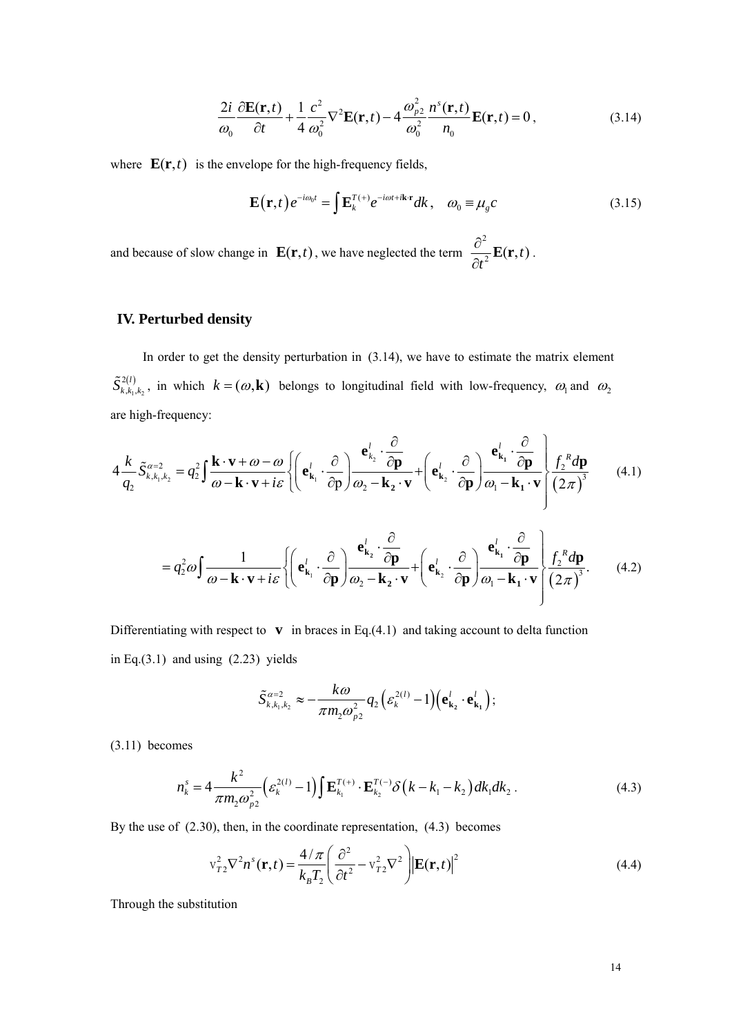$$
\frac{2i}{\omega_0} \frac{\partial \mathbf{E}(\mathbf{r},t)}{\partial t} + \frac{1}{4} \frac{c^2}{\omega_0^2} \nabla^2 \mathbf{E}(\mathbf{r},t) - 4 \frac{\omega_{p2}^2}{\omega_0^2} \frac{n^s(\mathbf{r},t)}{n_0} \mathbf{E}(\mathbf{r},t) = 0, \qquad (3.14)
$$

where  $\mathbf{E}(\mathbf{r},t)$  is the envelope for the high-frequency fields,

$$
\mathbf{E}(\mathbf{r},t)e^{-i\omega_0t} = \int \mathbf{E}_k^{T(+)}e^{-i\omega t + i\mathbf{k}\cdot\mathbf{r}}dk, \quad \omega_0 \equiv \mu_g c \tag{3.15}
$$

and because of slow change in  $\mathbf{E}(\mathbf{r}, t)$ , we have neglected the term 2  $\frac{\partial^2}{\partial t^2} \mathbf{E}(\mathbf{r},t)$ .

# **IV. Perturbed density**

In order to get the density perturbation in (3.14), we have to estimate the matrix element  $\left( l\right)$  $_1$ , $\kappa_2$ 2  $,k_1$ ,  $\tilde{S}_{k, k_1, k_2}^{2(l)}$ , in which  $k = (\omega, \mathbf{k})$  belongs to longitudinal field with low-frequency,  $\omega_1$  and  $\omega_2$ are high-frequency:

$$
4\frac{k}{q_2}\tilde{S}_{k,k_1,k_2}^{\alpha=2} = q_2^2 \int \frac{\mathbf{k} \cdot \mathbf{v} + \omega - \omega}{\omega - \mathbf{k} \cdot \mathbf{v} + i\varepsilon} \left\{ \left( \mathbf{e}_{\mathbf{k}_1}^l \cdot \frac{\partial}{\partial \mathbf{p}} \right) \frac{\mathbf{e}_{k_2}^l \cdot \frac{\partial}{\partial \mathbf{p}}}{\omega_2 - \mathbf{k}_2 \cdot \mathbf{v}} + \left( \mathbf{e}_{\mathbf{k}_2}^l \cdot \frac{\partial}{\partial \mathbf{p}} \right) \frac{\mathbf{e}_{\mathbf{k}_1}^l \cdot \frac{\partial}{\partial \mathbf{p}}}{\omega_1 - \mathbf{k}_1 \cdot \mathbf{v}} \right\} \frac{f_2^R d\mathbf{p}}{(2\pi)^3}
$$
(4.1)

$$
= q_2^2 \omega \int \frac{1}{\omega - \mathbf{k} \cdot \mathbf{v} + i \varepsilon} \left\{ \left( \mathbf{e}_{\mathbf{k}_1}^l \cdot \frac{\partial}{\partial \mathbf{p}} \right) \frac{\mathbf{e}_{\mathbf{k}_2}^l \cdot \frac{\partial}{\partial \mathbf{p}}}{\omega_2 - \mathbf{k}_2 \cdot \mathbf{v}} + \left( \mathbf{e}_{\mathbf{k}_2}^l \cdot \frac{\partial}{\partial \mathbf{p}} \right) \frac{\mathbf{e}_{\mathbf{k}_1}^l \cdot \frac{\partial}{\partial \mathbf{p}}}{\omega_1 - \mathbf{k}_1 \cdot \mathbf{v}} \right\} \frac{f_2^R d\mathbf{p}}{(2\pi)^3} .
$$
 (4.2)

Differentiating with respect to  $\bf{v}$  in braces in Eq.(4.1) and taking account to delta function in Eq. $(3.1)$  and using  $(2.23)$  yields

$$
\tilde{S}_{k,k_1,k_2}^{\alpha=2} \approx -\frac{k\omega}{\pi m_2 \omega_{p2}^2} q_2 \Big(\varepsilon_k^{2(l)} - 1\Big) \Big(\mathbf{e}_{\mathbf{k}_2}^l \cdot \mathbf{e}_{\mathbf{k}_1}^l\Big);
$$

(3.11) becomes

$$
n_k^s = 4 \frac{k^2}{\pi m_2 \omega_{p2}^2} \Big( \varepsilon_k^{2(l)} - 1 \Big) \int \mathbf{E}_{k_1}^{T_{(+)}} \cdot \mathbf{E}_{k_2}^{T_{(-)}} \delta \Big( k - k_1 - k_2 \Big) dk_1 dk_2 \,. \tag{4.3}
$$

By the use of (2.30), then, in the coordinate representation, (4.3) becomes

$$
\mathbf{v}_{T2}^2 \nabla^2 \boldsymbol{n}^s(\mathbf{r}, t) = \frac{4/\pi}{k_B T_2} \left( \frac{\partial^2}{\partial t^2} - \mathbf{v}_{T2}^2 \nabla^2 \right) \left| \mathbf{E}(\mathbf{r}, t) \right|^2 \tag{4.4}
$$

Through the substitution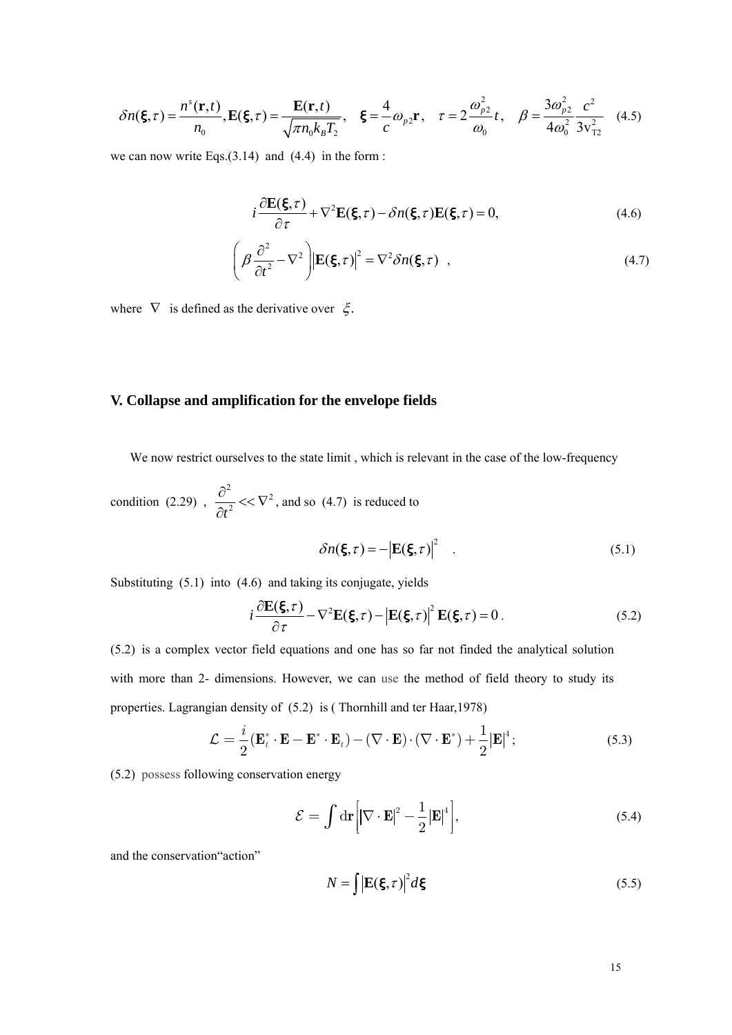$$
\delta n(\xi, \tau) = \frac{n^{s}(\mathbf{r}, t)}{n_0}, \mathbf{E}(\xi, \tau) = \frac{\mathbf{E}(\mathbf{r}, t)}{\sqrt{\pi n_0 k_B T_2}}, \quad \xi = \frac{4}{c} \omega_{p2} \mathbf{r}, \quad \tau = 2 \frac{\omega_{p2}^2}{\omega_0} t, \quad \beta = \frac{3 \omega_{p2}^2}{4 \omega_0^2} \frac{c^2}{3 v_{\tau 2}^2} \tag{4.5}
$$

we can now write Eqs. $(3.14)$  and  $(4.4)$  in the form :

$$
i\frac{\partial \mathbf{E}(\xi,\tau)}{\partial \tau} + \nabla^2 \mathbf{E}(\xi,\tau) - \delta n(\xi,\tau) \mathbf{E}(\xi,\tau) = 0,
$$
\n(4.6)

$$
\left(\beta \frac{\partial^2}{\partial t^2} - \nabla^2\right) \left| \mathbf{E}(\boldsymbol{\xi}, \tau) \right|^2 = \nabla^2 \delta n(\boldsymbol{\xi}, \tau) , \qquad (4.7)
$$

where  $\nabla$  is defined as the derivative over  $\xi$ .

## **V. Collapse and amplification for the envelope fields**

We now restrict ourselves to the state limit, which is relevant in the case of the low-frequency

condition (2.29) , <sup>2</sup>  $t^2$  $\frac{\partial^2}{\partial x^2} << \nabla$  $\frac{\partial}{\partial t^2}$  <<  $\nabla^2$ , and so (4.7) is reduced to

$$
\delta n(\xi, \tau) = -\left| \mathbf{E}(\xi, \tau) \right|^2 \tag{5.1}
$$

Substituting (5.1) into (4.6) and taking its conjugate, yields

$$
i\frac{\partial \mathbf{E}(\xi,\tau)}{\partial \tau} - \nabla^2 \mathbf{E}(\xi,\tau) - |\mathbf{E}(\xi,\tau)|^2 \mathbf{E}(\xi,\tau) = 0.
$$
 (5.2)

(5.2) is a complex vector field equations and one has so far not finded the analytical solution with more than 2- dimensions. However, we can use the method of field theory to study its properties. Lagrangian density of (5.2) is ( Thornhill and ter Haar,1978)

$$
\mathcal{L} = \frac{i}{2} (\mathbf{E}_t^* \cdot \mathbf{E} - \mathbf{E}^* \cdot \mathbf{E}_t) - (\nabla \cdot \mathbf{E}) \cdot (\nabla \cdot \mathbf{E}^*) + \frac{1}{2} |\mathbf{E}|^4; \tag{5.3}
$$

(5.2) possess following conservation energy

$$
\mathcal{E} = \int \mathrm{d}\mathbf{r} \left[ |\nabla \cdot \mathbf{E}|^2 - \frac{1}{2} |\mathbf{E}|^4 \right],\tag{5.4}
$$

and the conservation"action"

$$
N = \int |\mathbf{E}(\boldsymbol{\xi}, \tau)|^2 d\boldsymbol{\xi}
$$
 (5.5)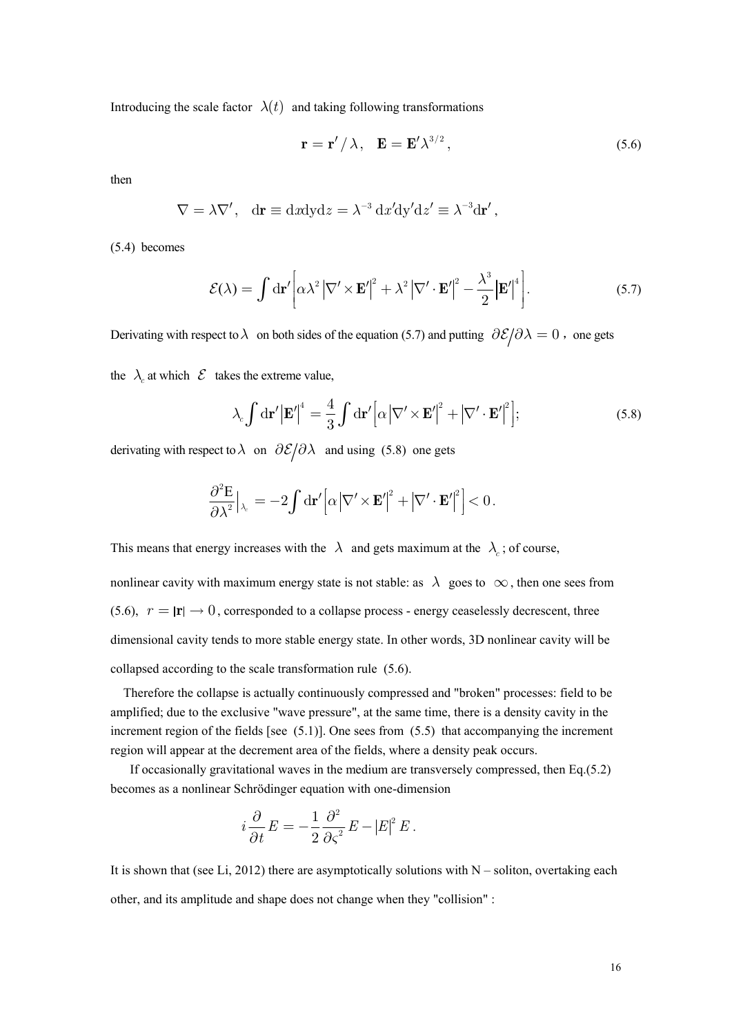Introducing the scale factor  $\lambda(t)$  and taking following transformations

$$
\mathbf{r} = \mathbf{r}' / \lambda, \quad \mathbf{E} = \mathbf{E}' \lambda^{3/2}, \tag{5.6}
$$

then

$$
\nabla = \lambda \nabla', \quad d\mathbf{r} \equiv dxdydz = \lambda^{-3} dx'dy'dz' \equiv \lambda^{-3}d\mathbf{r}',
$$

(5.4) becomes

$$
\mathcal{E}(\lambda) = \int d\mathbf{r}' \left[ \alpha \lambda^2 \left| \nabla' \times \mathbf{E}' \right|^2 + \lambda^2 \left| \nabla' \cdot \mathbf{E}' \right|^2 - \frac{\lambda^3}{2} \left| \mathbf{E}' \right|^4 \right]. \tag{5.7}
$$

Derivating with respect to  $\lambda$  on both sides of the equation (5.7) and putting  $\partial \mathcal{E}/\partial \lambda = 0$ , one gets

the  $\lambda_c$  at which  $\mathcal E$  takes the extreme value,

$$
\lambda_c \int d\mathbf{r}' \left| \mathbf{E}' \right|^4 = \frac{4}{3} \int d\mathbf{r}' \left[ \alpha \left| \nabla' \times \mathbf{E}' \right|^2 + \left| \nabla' \cdot \mathbf{E}' \right|^2 \right];\tag{5.8}
$$

derivating with respect to  $\lambda$  on  $\partial \mathcal{E}/\partial \lambda$  and using (5.8) one gets

$$
\frac{\partial^2 E}{\partial \lambda^2}\Big|_{\lambda_c} = -2 \int d\mathbf{r}' \Big[ \alpha \big| \nabla' \times \mathbf{E}' \big|^2 + \big| \nabla' \cdot \mathbf{E}' \big|^2 \Big] < 0 \,.
$$

This means that energy increases with the  $\lambda$  and gets maximum at the  $\lambda_c$ ; of course,

nonlinear cavity with maximum energy state is not stable: as  $\lambda$  goes to  $\infty$ , then one sees from (5.6),  $r = |\mathbf{r}| \rightarrow 0$ , corresponded to a collapse process - energy ceaselessly decrescent, three dimensional cavity tends to more stable energy state. In other words, 3D nonlinear cavity will be collapsed according to the scale transformation rule (5.6).

 Therefore the collapse is actually continuously compressed and "broken" processes: field to be amplified; due to the exclusive "wave pressure", at the same time, there is a density cavity in the increment region of the fields [see  $(5.1)$ ]. One sees from  $(5.5)$  that accompanying the increment region will appear at the decrement area of the fields, where a density peak occurs.

If occasionally gravitational waves in the medium are transversely compressed, then Eq.(5.2) becomes as a nonlinear Schrödinger equation with one-dimension

$$
i\frac{\partial}{\partial t}E=-\frac{1}{2}\frac{\partial^2}{\partial\varsigma^2}E-|E|^2\,E\,.
$$

It is shown that (see Li, 2012) there are asymptotically solutions with  $N -$  soliton, overtaking each other, and its amplitude and shape does not change when they "collision" :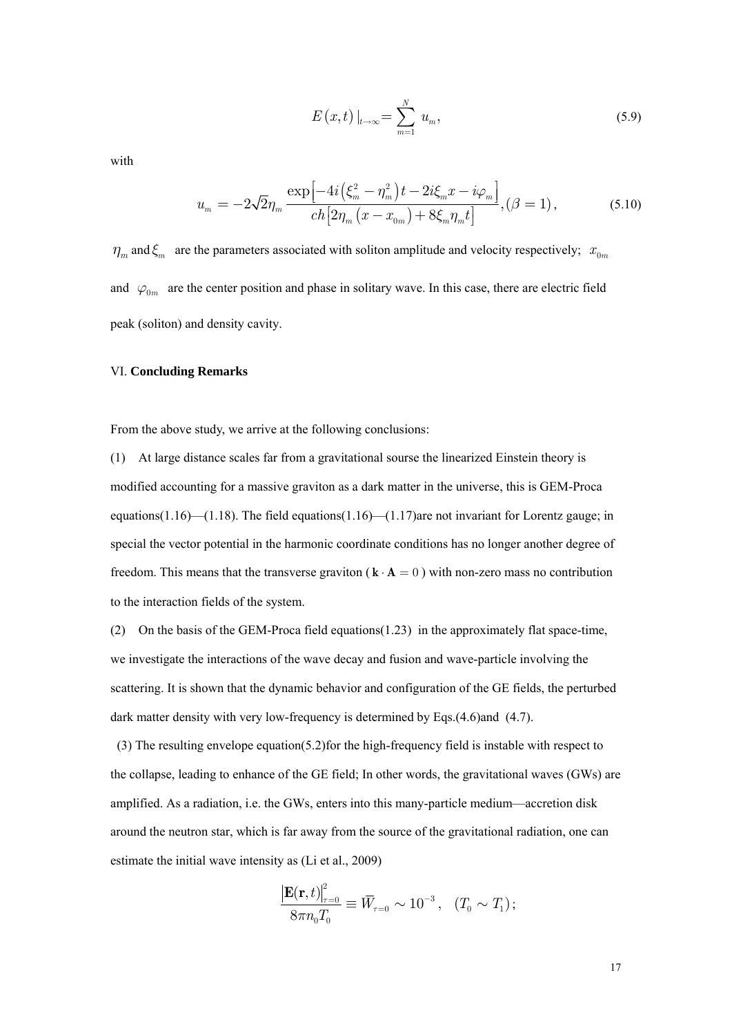$$
E(x,t)|_{t\to\infty} = \sum_{m=1}^{N} u_m,
$$
\n(5.9)

with

$$
u_m = -2\sqrt{2}\eta_m \frac{\exp\left[-4i\left(\xi_m^2 - \eta_m^2\right)t - 2i\xi_m x - i\varphi_m\right]}{ch\left[2\eta_m\left(x - x_{0m}\right) + 8\xi_m\eta_m t\right]}, (\beta = 1),\tag{5.10}
$$

 $\eta_m$  and  $\xi_m$  are the parameters associated with soliton amplitude and velocity respectively;  $x_{0m}$ and  $\varphi_{0m}$  are the center position and phase in solitary wave. In this case, there are electric field peak (soliton) and density cavity.

### VI. **Concluding Remarks**

From the above study, we arrive at the following conclusions:

(1) At large distance scales far from a gravitational sourse the linearized Einstein theory is modified accounting for a massive graviton as a dark matter in the universe, this is GEM-Proca equations(1.16)—(1.18). The field equations(1.16)—(1.17)are not invariant for Lorentz gauge; in special the vector potential in the harmonic coordinate conditions has no longer another degree of freedom. This means that the transverse graviton ( $\mathbf{k} \cdot \mathbf{A} = 0$ ) with non-zero mass no contribution to the interaction fields of the system.

(2) On the basis of the GEM-Proca field equations(1.23) in the approximately flat space-time, we investigate the interactions of the wave decay and fusion and wave-particle involving the scattering. It is shown that the dynamic behavior and configuration of the GE fields, the perturbed dark matter density with very low-frequency is determined by Eqs.(4.6)and (4.7).

 (3) The resulting envelope equation(5.2)for the high-frequency field is instable with respect to the collapse, leading to enhance of the GE field; In other words, the gravitational waves (GWs) are amplified. As a radiation, i.e. the GWs, enters into this many-particle medium—accretion disk around the neutron star, which is far away from the source of the gravitational radiation, one can estimate the initial wave intensity as (Li et al., 2009)

$$
\frac{\left|\mathbf{E}(\mathbf{r},t)\right|^{2}_{\tau=0}}{8\pi n_{0}T_{0}}\equiv \bar{W}_{\tau=0}\sim 10^{-3}\,,\ \ \, (T_{0}\sim T_{1})\,;
$$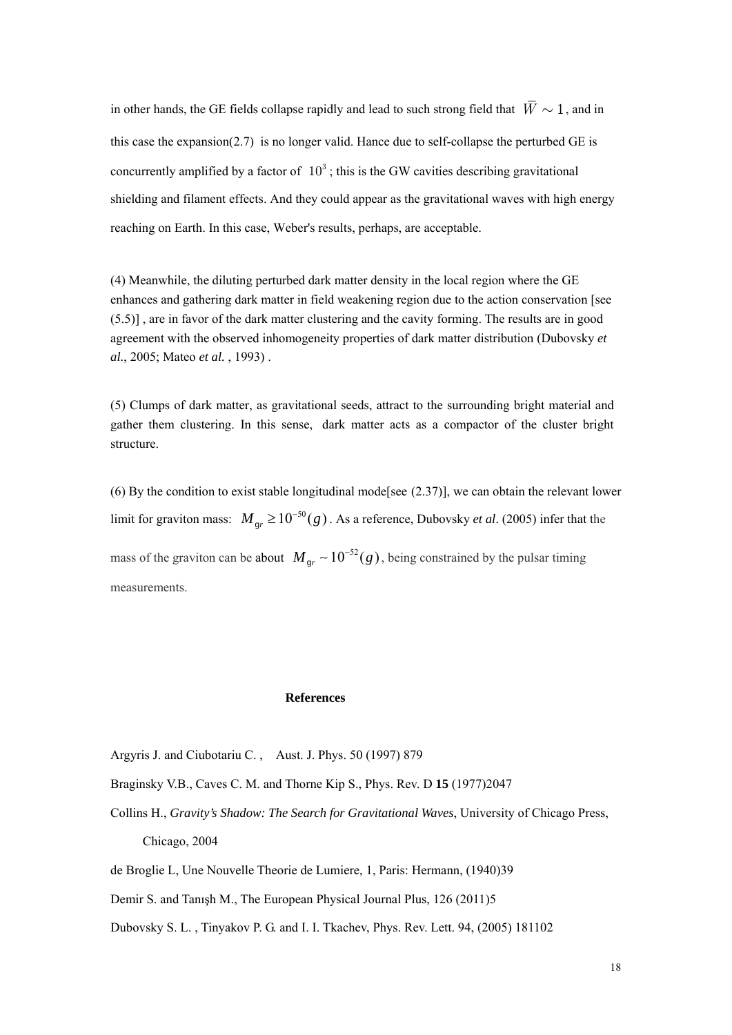in other hands, the GE fields collapse rapidly and lead to such strong field that *W* ∼ 1, and in this case the expansion(2.7) is no longer valid. Hance due to self-collapse the perturbed GE is concurrently amplified by a factor of  $10<sup>3</sup>$ : this is the GW cavities describing gravitational shielding and filament effects. And they could appear as the gravitational waves with high energy reaching on Earth. In this case, Weber's results, perhaps, are acceptable.

(4) Meanwhile, the diluting perturbed dark matter density in the local region where the GE enhances and gathering dark matter in field weakening region due to the action conservation [see (5.5)] , are in favor of the dark matter clustering and the cavity forming. The results are in good agreement with the observed inhomogeneity properties of dark matter distribution (Dubovsky *et al.*, 2005; Mateo *et al.* , 1993) .

(5) Clumps of dark matter, as gravitational seeds, attract to the surrounding bright material and gather them clustering. In this sense, dark matter acts as a compactor of the cluster bright structure.

(6) By the condition to exist stable longitudinal mode[see (2.37)], we can obtain the relevant lower limit for graviton mass:  $M_{gr} \ge 10^{-50} (g)$ . As a reference, Dubovsky *et al.* (2005) infer that the mass of the graviton can be about  $M_{gr} \sim 10^{-52} (g)$ , being constrained by the pulsar timing measurements.

### **References**

- Argyris J. and Ciubotariu C. , Aust. J. Phys. 50 (1997) 879
- Braginsky V.B., Caves C. M. and Thorne Kip S., Phys. Rev. D **15** (1977)2047
- Collins H., *Gravity's Shadow: The Search for Gravitational Waves*, University of Chicago Press, Chicago, 2004
- de Broglie L, Une Nouvelle Theorie de Lumiere, 1, Paris: Hermann, (1940)39
- Demir S. and Tanışh M., The European Physical Journal Plus, 126 (2011)5

Dubovsky S. L. , Tinyakov P. G. and I. I. Tkachev, Phys. Rev. Lett. 94, (2005) 181102